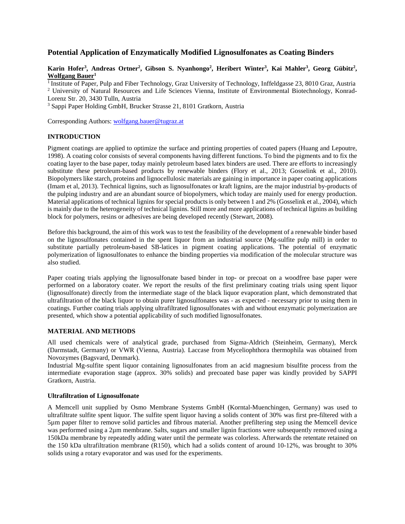# **Potential Application of Enzymatically Modified Lignosulfonates as Coating Binders**

# $\kappa$ arin Hofer<sup>3</sup>, Andreas Ortner<sup>2</sup>, Gibson S. Nyanhongo<sup>2</sup>, Heribert Winter<sup>3</sup>, Kai Mahler<sup>3</sup>, Georg Gübitz<sup>2</sup>, **Wolfgang Bauer1**

<sup>1</sup> Institute of Paper, Pulp and Fiber Technology, Graz University of Technology, Inffeldgasse 23, 8010 Graz, Austria <sup>2</sup> University of Natural Resources and Life Sciences Vienna, Institute of Environmental Biotechnology, Konrad-Lorenz Str. 20, 3430 Tulln, Austria

<sup>3</sup> Sappi Paper Holding GmbH, Brucker Strasse 21, 8101 Gratkorn, Austria

Corresponding Authors: [wolfgang.bauer@tugraz.at](mailto:wolfgang.bauer@tugraz.at)

# **INTRODUCTION**

Pigment coatings are applied to optimize the surface and printing properties of coated papers (Huang and Lepoutre, 1998). A coating color consists of several components having different functions. To bind the pigments and to fix the coating layer to the base paper, today mainly petroleum based latex binders are used. There are efforts to increasingly substitute these petroleum-based products by renewable binders (Flory et al., 2013; Gosselink et al., 2010). Biopolymers like starch, proteins and lignocellulosic materials are gaining in importance in paper coating applications (Imam et al, 2013). Technical lignins, such as lignosulfonates or kraft lignins, are the major industrial by-products of the pulping industry and are an abundant source of biopolymers, which today are mainly used for energy production. Material applications of technical lignins for special products is only between 1 and 2% (Gosselink et al., 2004), which is mainly due to the heterogeneity of technical lignins. Still more and more applications of technical lignins as building block for polymers, resins or adhesives are being developed recently (Stewart, 2008).

Before this background, the aim of this work was to test the feasibility of the development of a renewable binder based on the lignosulfonates contained in the spent liquor from an industrial source (Mg-sulfite pulp mill) in order to substitute partially petroleum-based SB-latices in pigment coating applications. The potential of enzymatic polymerization of lignosulfonates to enhance the binding properties via modification of the molecular structure was also studied.

Paper coating trials applying the lignosulfonate based binder in top- or precoat on a woodfree base paper were performed on a laboratory coater. We report the results of the first preliminary coating trials using spent liquor (lignosulfonate) directly from the intermediate stage of the black liquor evaporation plant, which demonstrated that ultrafiltration of the black liquor to obtain purer lignosulfonates was - as expected - necessary prior to using them in coatings. Further coating trials applying ultrafiltrated lignosulfonates with and without enzymatic polymerization are presented, which show a potential applicability of such modified lignosulfonates.

# **MATERIAL AND METHODS**

All used chemicals were of analytical grade, purchased from Sigma-Aldrich (Steinheim, Germany), Merck (Darmstadt, Germany) or VWR (Vienna, Austria). Laccase from Myceliophthora thermophila was obtained from Novozymes (Bagsvard, Denmark).

Industrial Mg-sulfite spent liquor containing lignosulfonates from an acid magnesium bisulfite process from the intermediate evaporation stage (approx. 30% solids) and precoated base paper was kindly provided by SAPPI Gratkorn, Austria.

# **Ultrafiltration of Lignosulfonate**

A Memcell unit supplied by Osmo Membrane Systems GmbH (Korntal-Muenchingen, Germany) was used to ultrafiltrate sulfite spent liquor. The sulfite spent liquor having a solids content of 30% was first pre-filtered with a 5µm paper filter to remove solid particles and fibrous material. Another prefiltering step using the Memcell device was performed using a 2µm membrane. Salts, sugars and smaller lignin fractions were subsequently removed using a 150kDa membrane by repeatedly adding water until the permeate was colorless. Afterwards the retentate retained on the 150 kDa ultrafiltration membrane (R150), which had a solids content of around 10-12%, was brought to 30% solids using a rotary evaporator and was used for the experiments.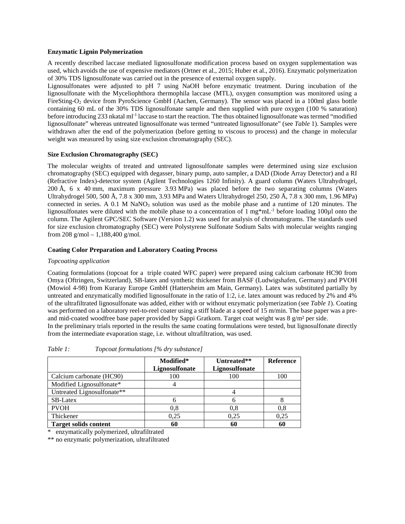#### **Enzymatic Lignin Polymerization**

A recently described laccase mediated lignosulfonate modification process based on oxygen supplementation was used, which avoids the use of expensive mediators (Ortner et al., 2015; Huber et al., 2016). Enzymatic polymerization of 30% TDS lignosulfonate was carried out in the presence of external oxygen supply.

Lignosulfonates were adjusted to pH 7 using NaOH before enzymatic treatment. During incubation of the lignosulfonate with the Myceliophthora thermophila laccase (MTL), oxygen consumption was monitored using a FireSting-O<sub>2</sub> device from PyroScience GmbH (Aachen, Germany). The sensor was placed in a 100ml glass bottle containing 60 mL of the 30% TDS lignosulfonate sample and then supplied with pure oxygen (100 % saturation) before introducing 233 nkatal ml-1 laccase to start the reaction. The thus obtained lignosulfonate was termed "modified lignosulfonate" whereas untreated lignosulfonate was termed "untreated lignosulfonate" (see *Table* 1). Samples were withdrawn after the end of the polymerization (before getting to viscous to process) and the change in molecular weight was measured by using size exclusion chromatography (SEC).

# **Size Exclusion Chromatography (SEC)**

The molecular weights of treated and untreated lignosulfonate samples were determined using size exclusion chromatography (SEC) equipped with degasser, binary pump, auto sampler, a DAD (Diode Array Detector) and a RI (Refractive Index)-detector system (Agilent Technologies 1260 Infinity). A guard column (Waters Ultrahydrogel, 200 Å, 6 x 40 mm, maximum pressure 3.93 MPa) was placed before the two separating columns (Waters Ultrahydrogel 500, 500 Å, 7.8 x 300 mm, 3.93 MPa and Waters Ultrahydrogel 250, 250 Å, 7.8 x 300 mm, 1.96 MPa) connected in series. A  $0.1$  M  $NaNO<sub>3</sub>$  solution was used as the mobile phase and a runtime of 120 minutes. The lignosulfonates were diluted with the mobile phase to a concentration of 1 mg\*mL-1 before loading 100µl onto the column. The Agilent GPC/SEC Software (Version 1.2) was used for analysis of chromatograms. The standards used for size exclusion chromatography (SEC) were Polystyrene Sulfonate Sodium Salts with molecular weights ranging from 208 g/mol – 1,188,400 g/mol.

### **Coating Color Preparation and Laboratory Coating Process**

#### *Topcoating application*

Coating formulations (topcoat for a triple coated WFC paper) were prepared using calcium carbonate HC90 from Omya (Oftringen, Switzerland), SB-latex and synthetic thickener from BASF (Ludwigshafen, Germany) and PVOH (Mowiol 4-98) from Kuraray Europe GmbH (Hattersheim am Main, Germany). Latex was substituted partially by untreated and enzymatically modified lignosulfonate in the ratio of 1:2, i.e. latex amount was reduced by 2% and 4% of the ultrafiltrated lignosulfonate was added, either with or without enzymatic polymerization (see *[Table 1](#page-1-0)*). Coating was performed on a laboratory reel-to-reel coater using a stiff blade at a speed of 15 m/min. The base paper was a preand mid-coated woodfree base paper provided by Sappi Gratkorn. Target coat weight was 8 g/m<sup>2</sup> per side.

In the preliminary trials reported in the results the same coating formulations were tested, but lignosulfonate directly from the intermediate evaporation stage, i.e. without ultrafiltration, was used.

|                              | Modified*<br>Lignosulfonate | Untreated**<br>Lignosulfonate | Reference |
|------------------------------|-----------------------------|-------------------------------|-----------|
| Calcium carbonate (HC90)     | 100                         | 100                           | 100       |
| Modified Lignosulfonate*     |                             |                               |           |
| Untreated Lignosulfonate**   |                             |                               |           |
| <b>SB-Latex</b>              |                             | h                             |           |
| <b>PVOH</b>                  | 0.8                         | 0.8                           | 0.8       |
| Thickener                    | 0.25                        | 0.25                          | 0.25      |
| <b>Target solids content</b> | 60                          | 60                            | 60        |

<span id="page-1-0"></span>*Table 1: Topcoat formulations [% dry substance]*

\* enzymatically polymerized, ultrafiltrated

\*\* no enzymatic polymerization, ultrafiltrated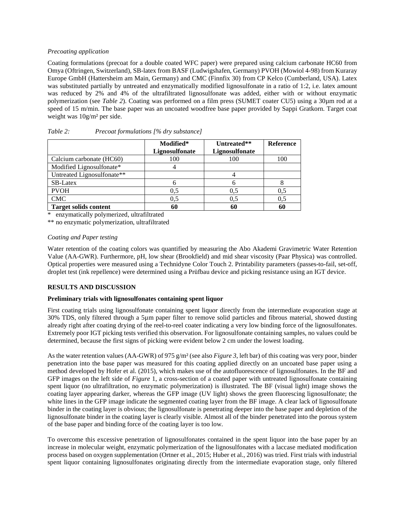### *Precoating application*

Coating formulations (precoat for a double coated WFC paper) were prepared using calcium carbonate HC60 from Omya (Oftringen, Switzerland), SB-latex from BASF (Ludwigshafen, Germany) PVOH (Mowiol 4-98) from Kuraray Europe GmbH (Hattersheim am Main, Germany) and CMC (Finnfix 30) from CP Kelco (Cumberland, USA). Latex was substituted partially by untreated and enzymatically modified lignosulfonate in a ratio of 1:2, i.e. latex amount was reduced by 2% and 4% of the ultrafiltrated lignosulfonate was added, either with or without enzymatic polymerization (see *[Table 2](#page-1-0)*). Coating was performed on a film press (SUMET coater CU5) using a 30µm rod at a speed of 15 m/min. The base paper was an uncoated woodfree base paper provided by Sappi Gratkorn. Target coat weight was 10g/m² per side.

|                              | Modified*<br>Lignosulfonate | Untreated**<br>Lignosulfonate | Reference |
|------------------------------|-----------------------------|-------------------------------|-----------|
| Calcium carbonate (HC60)     | 100                         | 100                           | 100       |
| Modified Lignosulfonate*     |                             |                               |           |
| Untreated Lignosulfonate**   |                             |                               |           |
| <b>SB-Latex</b>              |                             |                               |           |
| <b>PVOH</b>                  | 0.5                         | 0.5                           | 0.5       |
| <b>CMC</b>                   | 0.5                         | 0.5                           | 0.5       |
| <b>Target solids content</b> | 60                          | 60                            | 60        |

| Table 2: | Precoat formulations [% dry substance] |  |
|----------|----------------------------------------|--|
|----------|----------------------------------------|--|

enzymatically polymerized, ultrafiltrated

\*\* no enzymatic polymerization, ultrafiltrated

#### *Coating and Paper testing*

Water retention of the coating colors was quantified by measuring the Abo Akademi Gravimetric Water Retention Value (AA-GWR). Furthermore, pH, low shear (Brookfield) and mid shear viscosity (Paar Physica) was controlled. Optical properties were measured using a Technidyne Color Touch 2. Printability parameters (passes-to-fail, set-off, droplet test (ink repellence) were determined using a Prüfbau device and picking resistance using an IGT device.

# **RESULTS AND DISCUSSION**

#### **Preliminary trials with lignosulfonates containing spent liquor**

First coating trials using lignosulfonate containing spent liquor directly from the intermediate evaporation stage at 30% TDS, only filtered through a 5µm paper filter to remove solid particles and fibrous material, showed dusting already right after coating drying of the reel-to-reel coater indicating a very low binding force of the lignosulfonates. Extremely poor IGT picking tests verified this observation. For lignosulfonate containing samples, no values could be determined, because the first signs of picking were evident below 2 cm under the lowest loading.

As the water retention values (AA-GWR) of 975 g/m² (see also *Figure 3*, left bar) of this coating was very poor, binder penetration into the base paper was measured for this coating applied directly on an uncoated base paper using a method developed by Hofer et al. (2015), which makes use of the autofluorescence of lignosulfonates. In the BF and GFP images on the left side of *[Figure](#page-3-0)* 1, a cross-section of a coated paper with untreated lignosulfonate containing spent liquor (no ultrafiltration, no enzymatic polymerization) is illustrated. The BF (visual light) image shows the coating layer appearing darker, whereas the GFP image (UV light) shows the green fluorescing lignosulfonate; the white lines in the GFP image indicate the segmented coating layer from the BF image. A clear lack of lignosulfonate binder in the coating layer is obvious; the lignosulfonate is penetrating deeper into the base paper and depletion of the lignosulfonate binder in the coating layer is clearly visible. Almost all of the binder penetrated into the porous system of the base paper and binding force of the coating layer is too low.

To overcome this excessive penetration of lignosulfonates contained in the spent liquor into the base paper by an increase in molecular weight, enzymatic polymerization of the lignosulfonates with a laccase mediated modification process based on oxygen supplementation (Ortner et al., 2015; Huber et al., 2016) was tried. First trials with industrial spent liquor containing lignosulfonates originating directly from the intermediate evaporation stage, only filtered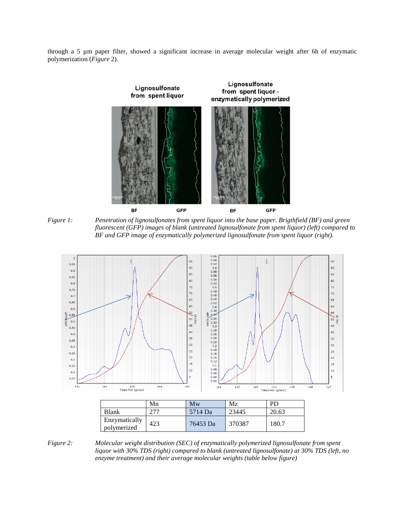through a 5 µm paper filter, showed a significant increase in average molecular weight after 6h of enzymatic polymerization (*[Figure](#page-3-1)* 2).



<span id="page-3-0"></span>*Figure 1: Penetration of lignosulfonates from spent liquor into the base paper. Brigthfield (BF) and green fluorescent (GFP) images of blank (untreated lignosulfonate from spent liquor) (left) compared to BF and GFP image of enzymatically polymerized lignosulfonate from spent liquor (right).*



|                              | Mn  | <b>NIW</b> | IVI Z  | ۲IJ   |
|------------------------------|-----|------------|--------|-------|
| Blank                        |     | 5714 Da    | 23445  | 20.63 |
| Enzymatically<br>polymerized | 423 | 76453 Da   | 370387 | 180.7 |

<span id="page-3-1"></span>*Figure 2: Molecular weight distribution (SEC) of enzymatically polymerized lignosulfonate from spent liquor with 30% TDS (right) compared to blank (untreated lignosulfonate) at 30% TDS (left, no enzyme treatment) and their average molecular weights (table below figure)*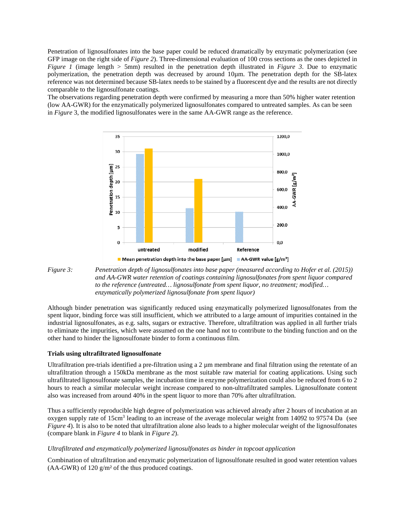Penetration of lignosulfonates into the base paper could be reduced dramatically by enzymatic polymerization (see GFP image on the right side of *[Figure 2](#page-4-0)*). Three-dimensional evaluation of 100 cross sections as the ones depicted in *Figure 1* (image length > 5mm) resulted in the penetration depth illustrated in *[Figure 3](#page-4-0)*. Due to enzymatic polymerization, the penetration depth was decreased by around 10µm. The penetration depth for the SB-latex reference was not determined because SB-latex needs to be stained by a fluorescent dye and the results are not directly comparable to the lignosulfonate coatings.

The observations regarding penetration depth were confirmed by measuring a more than 50% higher water retention (low AA-GWR) for the enzymatically polymerized lignosulfonates compared to untreated samples. As can be seen in *[Figure](#page-4-0)* 3, the modified lignosulfonates were in the same AA-GWR range as the reference.



<span id="page-4-0"></span>

Although binder penetration was significantly reduced using enzymatically polymerized lignosulfonates from the spent liquor, binding force was still insufficient, which we attributed to a large amount of impurities contained in the industrial lignosulfonates, as e.g. salts, sugars or extractive. Therefore, ultrafiltration was applied in all further trials to eliminate the impurities, which were assumed on the one hand not to contribute to the binding function and on the other hand to hinder the lignosulfonate binder to form a continuous film.

#### **Trials using ultrafiltrated lignosulfonate**

Ultrafiltration pre-trials identified a pre-filtration using a  $2 \mu$ m membrane and final filtration using the retentate of an ultrafiltration through a 150kDa membrane as the most suitable raw material for coating applications. Using such ultrafiltrated lignosulfonate samples, the incubation time in enzyme polymerization could also be reduced from 6 to 2 hours to reach a similar molecular weight increase compared to non-ultrafiltrated samples. Lignosulfonate content also was increased from around 40% in the spent liquor to more than 70% after ultrafiltration.

Thus a sufficiently reproducible high degree of polymerization was achieved already after 2 hours of incubation at an oxygen supply rate of 15cm3 leading to an increase of the average molecular weight from 14092 to 97574 Da (see *Figure 4*). It is also to be noted that ultrafiltration alone also leads to a higher molecular weight of the lignosulfonates (compare blank in *Figure 4* to blank in *Figure 2*).

#### *Ultrafiltrated and enzymatically polymerized lignosulfonates as binder in topcoat application*

Combination of ultrafiltration and enzymatic polymerization of lignosulfonate resulted in good water retention values  $(AA-GWR)$  of 120 g/m<sup>2</sup> of the thus produced coatings.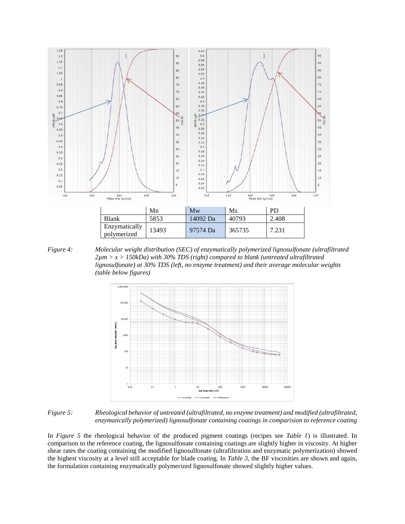





*Figure 5: Rheological behavior of untreated (ultrafiltrated, no enzyme treatment) and modified (ultrafiltrated, enzymatically polymerized) lignosulfonate containing coatings in comparision to reference coating*

In *Figure 5* the rheological behavior of the produced pigment coatings (recipes see *Table 1*) is illustrated. In comparison to the reference coating, the lignosulfonate containing coatings are slightly higher in viscosity. At higher shear rates the coating containing the modified lignosulfonate (ultrafiltration and enzymatic polymerization) showed the highest viscosity at a level still acceptable for blade coating. In *[Table 3](#page-6-0)*, the BF viscosities are shown and again, the formulation containing enzymatically polymerized lignosulfonate showed slightly higher values.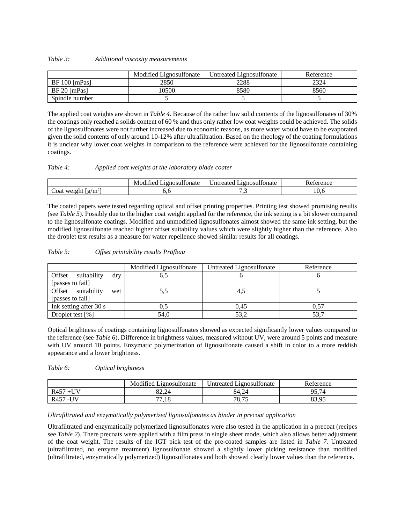#### <span id="page-6-0"></span>*Table 3: Additional viscosity measurements*

|                 | Modified Lignosulfonate | Untreated Lignosulfonate | Reference |
|-----------------|-------------------------|--------------------------|-----------|
| $BF 100$ [mPas] | 2850                    | 2288                     | 2324      |
| $BF 20$ [mPas]  | 10500                   | 8580                     | 8560      |
| Spindle number  |                         |                          |           |

The applied coat weights are shown in *Table 4*. Because of the rather low solid contents of the lignosulfonates of 30% the coatings only reached a solids content of 60 % and thus only rather low coat weights could be achieved. The solids of the lignosulfonates were not further increased due to economic reasons, as more water would have to be evaporated given the solid contents of only around 10-12% after ultrafiltration. Based on the rheology of the coating formulations it is unclear why lower coat weights in comparison to the reference were achieved for the lignosulfonate containing coatings.

#### *Table 4: Applied coat weights at the laboratory blade coater*

|                                                   | . .<br>litonate<br>Ignosu<br>utiec<br>VI.<br>м | <b>1000SH</b><br>Itonate<br>treater.<br>Int | $\alpha$ |
|---------------------------------------------------|------------------------------------------------|---------------------------------------------|----------|
| $\rm 1g/m^2$<br>$-1$<br>we1<br>Coat<br>. .<br>. . | $\lambda$                                      | $\ddot{\phantom{0}}$                        |          |

The coated papers were tested regarding optical and offset printing properties. Printing test showed promising results (see *[Table 5](#page-6-1)*). Possibly due to the higher coat weight applied for the reference, the ink setting is a bit slower compared to the lignosulfonate coatings. Modified and unmodified lignosulfonates almost showed the same ink setting, but the modified lignosulfonate reached higher offset suitability values which were slightly higher than the reference. Also the droplet test results as a measure for water repellence showed similar results for all coatings.

### <span id="page-6-1"></span>*Table 5: Offset printability results Prüfbau*

|                              | Modified Lignosulfonate | Untreated Lignosulfonate | Reference |
|------------------------------|-------------------------|--------------------------|-----------|
| Offset<br>suitability<br>drv | 6,5                     |                          |           |
| [passes to fail]             |                         |                          |           |
| Offset<br>suitability<br>wet | 5.5                     | 4,5                      |           |
| [passes to fail]             |                         |                          |           |
| Ink setting after 30 s       | U.S                     | 0.45                     | 0.57      |
| Droplet test $[\%]$          | 54,0                    | 53,2                     |           |

Optical brightness of coatings containing lignosulfonates showed as expected significantly lower values compared to the reference (see *[Table 6](#page-6-2)*). Difference in brightness values, measured without UV, were around 5 points and measure with UV around 10 points. Enzymatic polymerization of lignosulfonate caused a shift in color to a more reddish appearance and a lower brightness.

#### <span id="page-6-2"></span>*Table 6: Optical brightness*

|                                 | .<br>ignosulfonate<br>Modified   | $\mathbf{1}^{\alpha}$<br>.1gnosulfonate<br>Intreated | <sup>n</sup><br>Reference |
|---------------------------------|----------------------------------|------------------------------------------------------|---------------------------|
| TT.<br>R <sub>457</sub><br>--   | 82.24                            | 84.24                                                | 05.74<br>74<br>ノン・        |
| I IV<br>R <sub>457</sub><br>- 1 | $\overline{\phantom{a}}$<br>'.18 | 7075<br>10.19                                        | 83.95                     |

#### *Ultrafiltrated and enzymatically polymerized lignosulfonates as binder in precoat application*

Ultrafiltrated and enzymatically polymerized lignosulfonates were also tested in the application in a precoat (recipes see *Table 2*). There precoats were applied with a film press in single sheet mode, which also allows better adjustment of the coat weight. The results of the IGT pick test of the pre-coated samples are listed in *[Table 7.](#page-7-0)* Untreated (ultrafiltrated, no enzyme treatment) lignosulfonate showed a slightly lower picking resistance than modified (ultrafiltrated, enzymatically polymerized) lignosulfonates and both showed clearly lower values than the reference.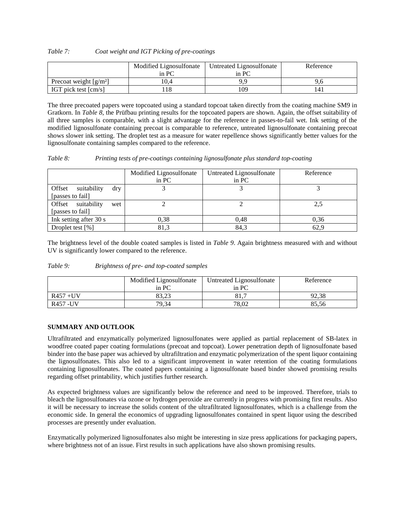<span id="page-7-0"></span>*Table 7: Coat weight and IGT Picking of pre-coatings* 

|                                             | Modified Lignosulfonate | Untreated Lignosulfonate | Reference |
|---------------------------------------------|-------------------------|--------------------------|-----------|
|                                             | in PC                   | in PC                    |           |
| Precoat weight $\left[\frac{g}{m^2}\right]$ | 10.4                    | oο                       | ∕.b       |
| IGT pick test $\lfloor$ cm/s $\rfloor$      | 18                      | l 09                     |           |

The three precoated papers were topcoated using a standard topcoat taken directly from the coating machine SM9 in Gratkorn. In *[Table 8](#page-7-1)*, the Prüfbau printing results for the topcoated papers are shown. Again, the offset suitability of all three samples is comparable, with a slight advantage for the reference in passes-to-fail wet. Ink setting of the modified lignosulfonate containing precoat is comparable to reference, untreated lignosulfonate containing precoat shows slower ink setting. The droplet test as a measure for water repellence shows significantly better values for the lignosulfonate containing samples compared to the reference.

<span id="page-7-1"></span>

| Table 8: | Printing tests of pre-coatings containing lignosulfonate plus standard top-coating |  |  |  |
|----------|------------------------------------------------------------------------------------|--|--|--|
|----------|------------------------------------------------------------------------------------|--|--|--|

|                                                  | Modified Lignosulfonate<br>$\overline{m}$ PC | Untreated Lignosulfonate<br>in $PC$ | Reference |
|--------------------------------------------------|----------------------------------------------|-------------------------------------|-----------|
| Offset<br>suitability<br>dry<br>[passes to fail] |                                              |                                     |           |
| Offset suitability<br>wet<br>[passes to fail]    |                                              |                                     | 2.5       |
| Ink setting after 30 s                           | 0.38                                         | 0.48                                | 0.36      |
| Droplet test [%]                                 | 81.3                                         | 84,3                                | 62.9      |

The brightness level of the double coated samples is listed in *[Table 9](#page-7-2)*. Again brightness measured with and without UV is significantly lower compared to the reference.

<span id="page-7-2"></span>

| Table 9: | Brightness of pre- and top-coated samples |  |
|----------|-------------------------------------------|--|
|----------|-------------------------------------------|--|

|             | Modified Lignosulfonate | Untreated Lignosulfonate | Reference |
|-------------|-------------------------|--------------------------|-----------|
|             | in PC                   | in PC                    |           |
| $R457 + UV$ | 83.23                   | 81,7                     | 92,38     |
| R457 - UV   | 79,34                   | 78.02                    | 85.56     |

# **SUMMARY AND OUTLOOK**

Ultrafiltrated and enzymatically polymerized lignosulfonates were applied as partial replacement of SB-latex in woodfree coated paper coating formulations (precoat and topcoat). Lower penetration depth of lignosulfonate based binder into the base paper was achieved by ultrafiltration and enzymatic polymerization of the spent liquor containing the lignosulfonates. This also led to a significant improvement in water retention of the coating formulations containing lignosulfonates. The coated papers containing a lignosulfonate based binder showed promising results regarding offset printability, which justifies further research.

As expected brightness values are significantly below the reference and need to be improved. Therefore, trials to bleach the lignosulfonates via ozone or hydrogen peroxide are currently in progress with promising first results. Also it will be necessary to increase the solids content of the ultrafiltrated lignosulfonates, which is a challenge from the economic side. In general the economics of upgrading lignosulfonates contained in spent liquor using the described processes are presently under evaluation.

Enzymatically polymerized lignosulfonates also might be interesting in size press applications for packaging papers, where brightness not of an issue. First results in such applications have also shown promising results.